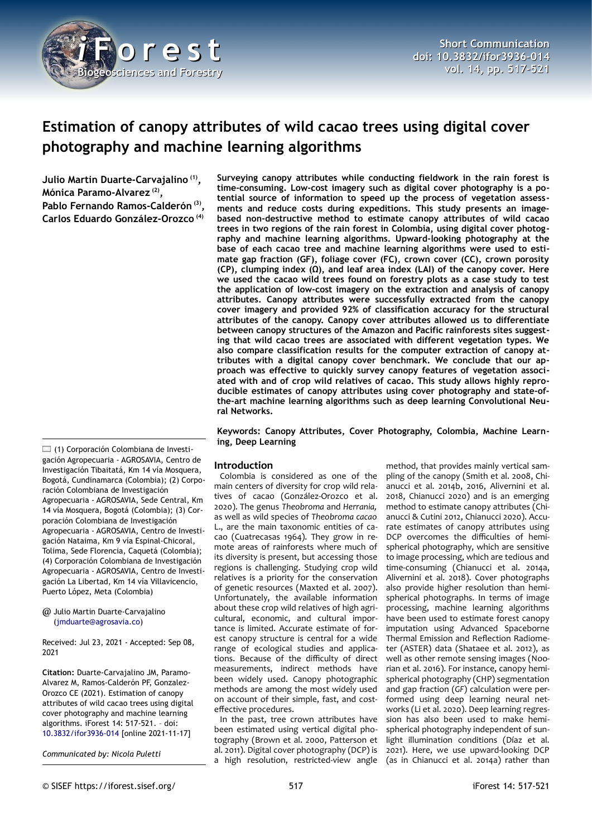

# **Estimation of canopy attributes of wild cacao trees using digital cover photography and machine learning algorithms**

**Julio Martin Duarte-Carvajalino (1) , Mónica Paramo-Alvarez (2) , Pablo Fernando Ramos-Calderón (3) , Carlos Eduardo González-Orozco (4)**

**Surveying canopy attributes while conducting fieldwork in the rain forest is time-consuming. Low-cost imagery such as digital cover photography is a potential source of information to speed up the process of vegetation assessments and reduce costs during expeditions. This study presents an imagebased non-destructive method to estimate canopy attributes of wild cacao trees in two regions of the rain forest in Colombia, using digital cover photography and machine learning algorithms. Upward-looking photography at the base of each cacao tree and machine learning algorithms were used to estimate gap fraction (GF), foliage cover (FC), crown cover (CC), crown porosity (CP), clumping index (Ω), and leaf area index (LAI) of the canopy cover. Here we used the cacao wild trees found on forestry plots as a case study to test the application of low-cost imagery on the extraction and analysis of canopy attributes. Canopy attributes were successfully extracted from the canopy cover imagery and provided 92% of classification accuracy for the structural attributes of the canopy. Canopy cover attributes allowed us to differentiate between canopy structures of the Amazon and Pacific rainforests sites suggesting that wild cacao trees are associated with different vegetation types. We also compare classification results for the computer extraction of canopy attributes with a digital canopy cover benchmark. We conclude that our approach was effective to quickly survey canopy features of vegetation associated with and of crop wild relatives of cacao. This study allows highly reproducible estimates of canopy attributes using cover photography and state-ofthe-art machine learning algorithms such as deep learning Convolutional Neural Networks.**

**Keywords: Canopy Attributes, Cover Photography, Colombia, Machine Learning, Deep Learning**

## **Introduction**

Colombia is considered as one of the main centers of diversity for crop wild relatives of cacao (González-Orozco et al. 2020). The genus *Theobroma* and *Herrania,* as well as wild species of *Theobroma cacao* L., are the main taxonomic entities of cacao (Cuatrecasas 1964). They grow in remote areas of rainforests where much of its diversity is present, but accessing those regions is challenging. Studying crop wild relatives is a priority for the conservation of genetic resources (Maxted et al. 2007). Unfortunately, the available information about these crop wild relatives of high agricultural, economic, and cultural importance is limited. Accurate estimate of forest canopy structure is central for a wide range of ecological studies and applications. Because of the difficulty of direct measurements, indirect methods have been widely used. Canopy photographic methods are among the most widely used on account of their simple, fast, and costeffective procedures.

In the past, tree crown attributes have been estimated using vertical digital photography (Brown et al. 2000, Patterson et al. 2011). Digital cover photography (DCP) is a high resolution, restricted-view angle

method, that provides mainly vertical sampling of the canopy (Smith et al. 2008, Chianucci et al. 2014b, 2016, Alivernini et al. 2018, Chianucci 2020) and is an emerging method to estimate canopy attributes (Chianucci & Cutini 2012, Chianucci 2020). Accurate estimates of canopy attributes using DCP overcomes the difficulties of hemispherical photography, which are sensitive to image processing, which are tedious and time-consuming (Chianucci et al. 2014a, Alivernini et al. 2018). Cover photographs also provide higher resolution than hemispherical photographs. In terms of image processing, machine learning algorithms have been used to estimate forest canopy imputation using Advanced Spaceborne Thermal Emission and Reflection Radiometer (ASTER) data (Shataee et al. 2012), as well as other remote sensing images (Noorian et al. 2016). For instance, canopy hemispherical photography (CHP) segmentation and gap fraction (*GF*) calculation were performed using deep learning neural networks (Li et al. 2020). Deep learning regression has also been used to make hemispherical photography independent of sunlight illumination conditions (Díaz et al. 2021). Here, we use upward-looking DCP (as in Chianucci et al. 2014a) rather than

(1) Corporación Colombiana de Investigación Agropecuaria - AGROSAVIA, Centro de Investigación Tibaitatá, Km 14 vía Mosquera, Bogotá, Cundinamarca (Colombia); (2) Corporación Colombiana de Investigación Agropecuaria - AGROSAVIA, Sede Central, Km 14 vía Mosquera, Bogotá (Colombia); (3) Corporación Colombiana de Investigación Agropecuaria - AGROSAVIA, Centro de Investigación Nataima, Km 9 vía Espinal-Chicoral, Tolima, Sede Florencia, Caquetá (Colombia); (4) Corporación Colombiana de Investigación Agropecuaria - AGROSAVIA, Centro de Investigación La Libertad, Km 14 vía Villavicencio, Puerto López, Meta (Colombia)

@ Julio Martin Duarte-Carvajalino ([jmduarte@agrosavia.co](mailto:jmduarte@agrosavia.co))

Received: Jul 23, 2021 - Accepted: Sep 08, 2021

**Citation:** Duarte-Carvajalino JM, Paramo-Alvarez M, Ramos-Calderón PF, Gonzalez-Orozco CE (2021). Estimation of canopy attributes of wild cacao trees using digital cover photography and machine learning algorithms. iForest 14: 517-521. – doi[:](http://www.sisef.it/iforest/contents/?id=ifor3936-014) [10.3832/ifor3936-014](http://www.sisef.it/iforest/contents/?id=ifor3936-014) [online 2021-11-17]

*Communicated by: Nicola Puletti*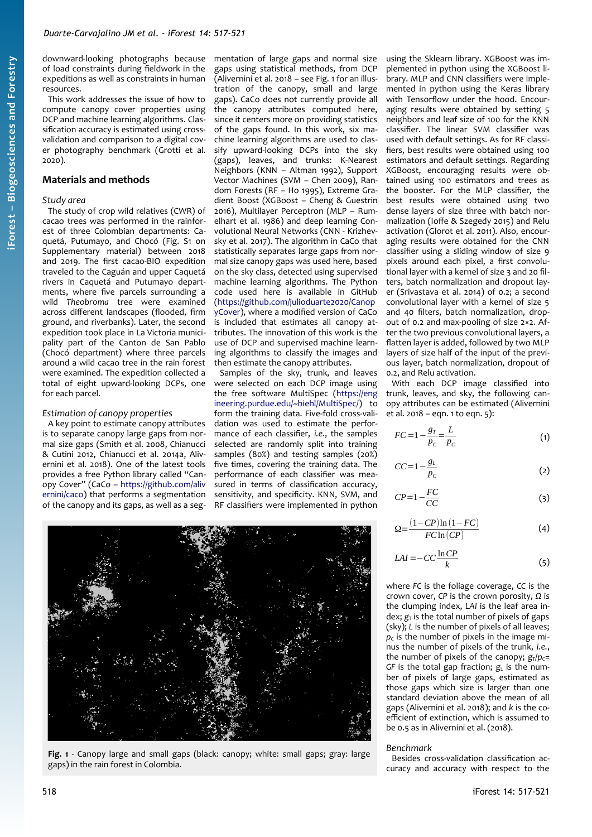downward-looking photographs because of load constraints during fieldwork in the expeditions as well as constraints in human resources.

This work addresses the issue of how to compute canopy cover properties using DCP and machine learning algorithms. Classification accuracy is estimated using crossvalidation and comparison to a digital cover photography benchmark (Grotti et al. 2020).

## **Materials and methods**

#### *Study area*

The study of crop wild relatives (CWR) of cacao trees was performed in the rainforest of three Colombian departments: Caquetá, Putumayo, and Chocó (Fig. S1 on Supplementary material) between 2018 and 2019. The first cacao-BIO expedition traveled to the Caguán and upper Caquetá rivers in Caquetá and Putumayo departments, where five parcels surrounding a wild *Theobroma* tree were examined across different landscapes (flooded, firm ground, and riverbanks). Later, the second expedition took place in La Victoria municipality part of the Canton de San Pablo (Chocó department) where three parcels around a wild cacao tree in the rain forest were examined. The expedition collected a total of eight upward-looking DCPs, one for each parcel.

#### *Estimation of canopy properties*

A key point to estimate canopy attributes is to separate canopy large gaps from normal size gaps (Smith et al. 2008, Chianucci & Cutini 2012, Chianucci et al. 2014a, Alivernini et al. 2018). One of the latest tools provides a free Python library called "Canopy Cover" (CaCo – [https://github.com/aliv](https://github.com/alivernini/caco) [ernini/caco](https://github.com/alivernini/caco)) that performs a segmentation of the canopy and its gaps, as well as a seg-

mentation of large gaps and normal size gaps using statistical methods, from DCP (Alivernini et al. 2018 – see [Fig. 1](#page-1-0) for an illustration of the canopy, small and large gaps). CaCo does not currently provide all the canopy attributes computed here, since it centers more on providing statistics of the gaps found. In this work, six machine learning algorithms are used to classify upward-looking DCPs into the sky (gaps), leaves, and trunks: K-Nearest Neighbors (KNN – Altman 1992), Support Vector Machines (SVM – Chen 2009), Random Forests (RF – Ho 1995), Extreme Gradient Boost (XGBoost – Cheng & Guestrin 2016), Multilayer Perceptron (MLP – Rumelhart et al. 1986) and deep learning Convolutional Neural Networks (CNN - Krizhevsky et al. 2017). The algorithm in CaCo that statistically separates large gaps from normal size canopy gaps was used here, based on the sky class, detected using supervised machine learning algorithms. The Python code used here is available in GitHub ([https://github.com/julioduarte2020/Canop](https://github.com/julioduarte2020/CanopyCover) [yCover\)](https://github.com/julioduarte2020/CanopyCover), where a modified version of CaCo is included that estimates all canopy attributes. The innovation of this work is the use of DCP and supervised machine learning algorithms to classify the images and then estimate the canopy attributes.

Samples of the sky, trunk, and leaves were selected on each DCP image using the free software MultiSpec [\(https://eng](https://engineering.purdue.edu/~biehl/MultiSpec/) [ineering.purdue.edu/~biehl/MultiSpec/](https://engineering.purdue.edu/~biehl/MultiSpec/)) to form the training data. Five-fold cross-validation was used to estimate the performance of each classifier, *i.e.*, the samples selected are randomly split into training samples (80%) and testing samples (20%) five times, covering the training data. The performance of each classifier was measured in terms of classification accuracy, sensitivity, and specificity. KNN, SVM, and RF classifiers were implemented in python

using the Sklearn library. XGBoost was implemented in python using the XGBoost library. MLP and CNN classifiers were implemented in python using the Keras library with Tensorflow under the hood. Encouraging results were obtained by setting 5 neighbors and leaf size of 100 for the KNN classifier. The linear SVM classifier was used with default settings. As for RF classifiers, best results were obtained using 100 estimators and default settings. Regarding XGBoost, encouraging results were obtained using 100 estimators and trees as the booster. For the MLP classifier, the best results were obtained using two dense layers of size three with batch normalization (Ioffe & Szegedy 2015) and Relu activation (Glorot et al. 2011). Also, encouraging results were obtained for the CNN classifier using a sliding window of size 9 pixels around each pixel, a first convolutional layer with a kernel of size 3 and 20 filters, batch normalization and dropout layer (Srivastava et al. 2014) of 0.2; a second convolutional layer with a kernel of size 5 and 40 filters, batch normalization, dropout of 0.2 and max-pooling of size 2×2. After the two previous convolutional layers, a flatten layer is added, followed by two MLP layers of size half of the input of the previous layer, batch normalization, dropout of 0.2, and Relu activation.

With each DCP image classified into trunk, leaves, and sky, the following canopy attributes can be estimated (Alivernini et al. 2018 – eqn. 1 to eqn. 5):

$$
FC = 1 - \frac{g_T}{p_C} = \frac{L}{p_C} \tag{1}
$$

$$
CC=1-\frac{g_L}{p_C} \tag{2}
$$

$$
CP = 1 - \frac{FC}{CC}
$$
 (3)

$$
\Omega = \frac{(1 - CP)\ln(1 - FC)}{FC\ln(CP)}\tag{4}
$$

$$
LAI = -CC\frac{\ln CP}{k} \tag{5}
$$

where *FC* is the foliage coverage, *CC* is the crown cover, *CP* is the crown porosity, *Ω* is the clumping index, *LAI* is the leaf area in $dex$ ;  $g<sub>T</sub>$  is the total number of pixels of gaps (sky); *L* is the number of pixels of all leaves;  $p_c$  is the number of pixels in the image minus the number of pixels of the trunk, *i.e.*, the number of pixels of the canopy;  $g_{\text{T}}/p_{\text{C}}=$  $GF$  is the total gap fraction;  $g<sub>L</sub>$  is the number of pixels of large gaps, estimated as those gaps which size is larger than one standard deviation above the mean of all gaps (Alivernini et al. 2018); and *k* is the coefficient of extinction, which is assumed to be 0.5 as in Alivernini et al. (2018).

#### *Benchmark*

Besides cross-validation classification accuracy and accuracy with respect to the

<span id="page-1-0"></span>

**Fig. 1** - Canopy large and small gaps (black: canopy; white: small gaps; gray: large gaps) in the rain forest in Colombia.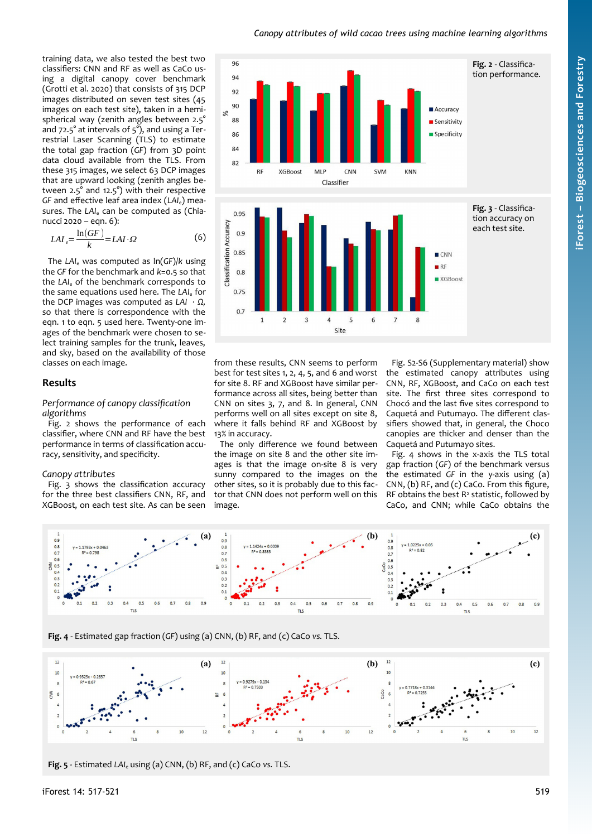#### <span id="page-2-2"></span>*Canopy attributes of wild cacao trees using machine learning algorithms*

training data, we also tested the best two classifiers: CNN and RF as well as CaCo using a digital canopy cover benchmark (Grotti et al. 2020) that consists of 315 DCP images distributed on seven test sites (45 images on each test site), taken in a hemispherical way (zenith angles between 2.5° and 72.5° at intervals of 5°), and using a Terrestrial Laser Scanning (TLS) to estimate the total gap fraction (*GF*) from 3D point data cloud available from the TLS. From these 315 images, we select 63 DCP images that are upward looking (zenith angles between 2.5° and 12.5°) with their respective *GF* and effective leaf area index (*LAI*e) measures. The LAI<sub>e</sub> can be computed as (Chianucci 2020 – eqn. 6):

$$
LAI_e = \frac{\ln(GF)}{k} = LAI \cdot \Omega
$$
 (6)

The *LAI*e was computed as ln(*GF*)/*k* using the *GF* for the benchmark and *k*=0.5 so that the *LAI*<sub>e</sub> of the benchmark corresponds to the same equations used here. The LAI<sub>e</sub> for the DCP images was computed as *LAI · Ω,* so that there is correspondence with the eqn. 1 to eqn. 5 used here. Twenty-one images of the benchmark were chosen to select training samples for the trunk, leaves, and sky, based on the availability of those classes on each image.

#### **Results**

#### *Performance of canopy classification algorithms*

[Fig. 2](#page-2-2) shows the performance of each classifier, where CNN and RF have the best performance in terms of classification accuracy, sensitivity, and specificity.

#### *Canopy attributes*

[Fig. 3](#page-2-1) shows the classification accuracy for the three best classifiers CNN, RF, and XGBoost, on each test site. As can be seen



from these results, CNN seems to perform best for test sites 1, 2, 4, 5, and 6 and worst for site 8. RF and XGBoost have similar performance across all sites, being better than CNN on sites 3, 7, and 8. In general, CNN performs well on all sites except on site 8, where it falls behind RF and XGBoost by 13% in accuracy.

The only difference we found between the image on site 8 and the other site images is that the image on-site 8 is very sunny compared to the images on the other sites, so it is probably due to this factor that CNN does not perform well on this image.

<span id="page-2-1"></span>Fig. S2-S6 (Supplementary material) show the estimated canopy attributes using CNN, RF, XGBoost, and CaCo on each test site. The first three sites correspond to Chocó and the last five sites correspond to Caquetá and Putumayo. The different classifiers showed that, in general, the Choco canopies are thicker and denser than the Caquetá and Putumayo sites.

[Fig. 4](#page-2-0) shows in the x-axis the TLS total gap fraction (*GF*) of the benchmark versus the estimated *GF* in the y-axis using (a) CNN, (b) RF, and (c) CaCo. From this figure, RF obtains the best  $R^2$  statistic, followed by CaCo, and CNN; while CaCo obtains the



<span id="page-2-0"></span>**Fig. 4** - Estimated gap fraction (*GF*) using (a) CNN, (b) RF, and (c) CaCo *vs.* TLS.



<span id="page-2-3"></span>**Fig. 5** - Estimated *LAI*e using (a) CNN, (b) RF, and (c) CaCo *vs.* TLS.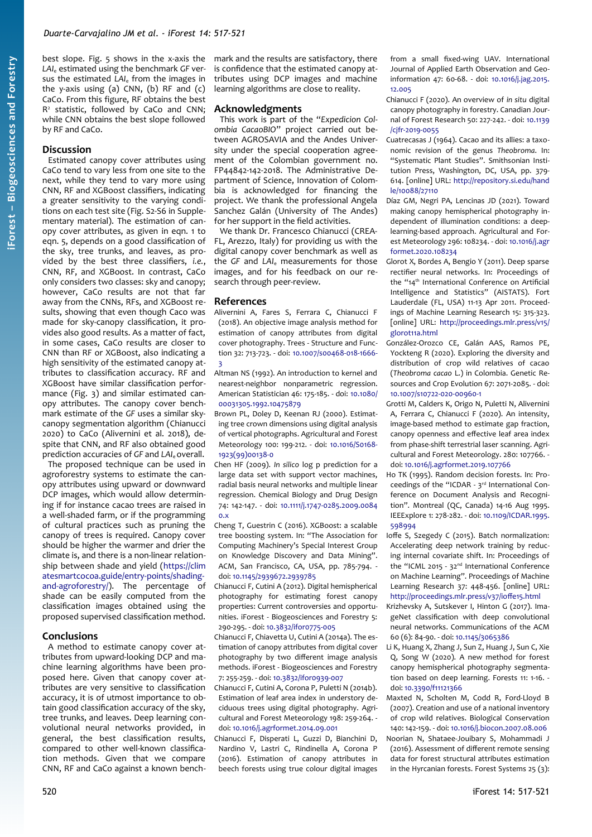best slope. [Fig. 5](#page-2-3) shows in the x-axis the *LAI*e estimated using the benchmark *GF* versus the estimated *LAI*e from the images in the y-axis using  $(a)$  CNN,  $(b)$  RF and  $(c)$ CaCo. From this figure, RF obtains the best R2 statistic, followed by CaCo and CNN; while CNN obtains the best slope followed by RF and CaCo.

### **Discussion**

Estimated canopy cover attributes using CaCo tend to vary less from one site to the next, while they tend to vary more using CNN, RF and XGBoost classifiers, indicating a greater sensitivity to the varying conditions on each test site (Fig. S2-S6 in Supplementary material). The estimation of canopy cover attributes, as given in eqn. 1 to eqn. 5, depends on a good classification of the sky, tree trunks, and leaves, as provided by the best three classifiers, *i.e.*, CNN, RF, and XGBoost. In contrast, CaCo only considers two classes: sky and canopy; however, CaCo results are not that far away from the CNNs, RFs, and XGBoost results, showing that even though Caco was made for sky-canopy classification, it provides also good results. As a matter of fact, in some cases, CaCo results are closer to CNN than RF or XGBoost, also indicating a high sensitivity of the estimated canopy attributes to classification accuracy. RF and XGBoost have similar classification performance ([Fig. 3](#page-2-1)) and similar estimated canopy attributes. The canopy cover benchmark estimate of the *GF* uses a similar skycanopy segmentation algorithm (Chianucci 2020) to CaCo (Alivernini et al. 2018), despite that CNN, and RF also obtained good prediction accuracies of *GF* and *LAI*<sub>e</sub> overall.

The proposed technique can be used in agroforestry systems to estimate the canopy attributes using upward or downward DCP images, which would allow determining if for instance cacao trees are raised in a well-shaded farm, or if the programming of cultural practices such as pruning the canopy of trees is required. Canopy cover should be higher the warmer and drier the climate is, and there is a non-linear relationship between shade and yield [\(https://clim](https://climatesmartcocoa.guide/entry-points/shading-and-agroforestry/) [atesmartcocoa.guide/entry-points/shading](https://climatesmartcocoa.guide/entry-points/shading-and-agroforestry/)[and-agroforestry/](https://climatesmartcocoa.guide/entry-points/shading-and-agroforestry/)). The percentage of shade can be easily computed from the classification images obtained using the proposed supervised classification method.

## **Conclusions**

A method to estimate canopy cover attributes from upward-looking DCP and machine learning algorithms have been proposed here. Given that canopy cover attributes are very sensitive to classification accuracy, it is of utmost importance to obtain good classification accuracy of the sky, tree trunks, and leaves. Deep learning convolutional neural networks provided, in general, the best classification results, compared to other well-known classification methods. Given that we compare CNN, RF and CaCo against a known benchmark and the results are satisfactory, there is confidence that the estimated canopy attributes using DCP images and machine learning algorithms are close to reality.

#### **Acknowledgments**

This work is part of the "*Expedicion Colombia CacaoBIO*" project carried out between AGROSAVIA and the Andes University under the special cooperation agreement of the Colombian government no. FP44842-142-2018. The Administrative Department of Science, Innovation of Colombia is acknowledged for financing the project. We thank the professional Angela Sanchez Galán (University of The Andes) for her support in the field activities.

We thank Dr. Francesco Chianucci (CREA-FL, Arezzo, Italy) for providing us with the digital canopy cover benchmark as well as the *GF* and *LAI*<sub>e</sub> measurements for those images, and for his feedback on our research through peer-review.

#### **References**

- Alivernini A, Fares S, Ferrara C, Chianucci F (2018). An objective image analysis method for estimation of canopy attributes from digital cover photography. Trees - Structure and Function 32: 713-723. - doi: [10.1007/s00468-018-1666-](https://doi.org/10.1007/s00468-018-1666-3) [3](https://doi.org/10.1007/s00468-018-1666-3)
- Altman NS (1992). An introduction to kernel and nearest-neighbor nonparametric regression. American Statistician 46: 175-185. - doi: [10.1080/](https://doi.org/10.1080/00031305.1992.10475879) [00031305.1992.10475879](https://doi.org/10.1080/00031305.1992.10475879)
- Brown PL, Doley D, Keenan RJ (2000). Estimating tree crown dimensions using digital analysis of vertical photographs. Agricultural and Forest Meteorology 100: 199-212. - doi: [10.1016/S0168-](https://doi.org/10.1016/S0168-1923(99)00138-0) [1923\(99\)00138-0](https://doi.org/10.1016/S0168-1923(99)00138-0)
- Chen HF (2009). *In silico* log p prediction for a large data set with support vector machines, radial basis neural networks and multiple linear regression. Chemical Biology and Drug Design 74: 142-147. - doi: [10.1111/j.1747-0285.2009.0084](https://doi.org/10.1111/j.1747-0285.2009.00840.x) [0.x](https://doi.org/10.1111/j.1747-0285.2009.00840.x)
- Cheng T, Guestrin C (2016). XGBoost: a scalable tree boosting system. In: "The Association for Computing Machinery's Special Interest Group on Knowledge Discovery and Data Mining". ACM, San Francisco, CA, USA, pp. 785-794. doi: [10.1145/2939672.2939785](https://doi.org/10.1145/2939672.2939785)
- Chianucci F, Cutini A (2012). Digital hemispherical photography for estimating forest canopy properties: Current controversies and opportunities. iForest - Biogeosciences and Forestry 5: 290-295. - doi: [10.3832/ifor0775-005](https://doi.org/10.3832/ifor0775-005)
- Chianucci F, Chiavetta U, Cutini A (2014a). The estimation of canopy attributes from digital cover photography by two different image analysis methods. iForest - Biogeosciences and Forestry 7: 255-259. - doi: [10.3832/ifor0939-007](https://doi.org/10.3832/ifor0939-007)
- Chianucci F, Cutini A, Corona P, Puletti N (2014b). Estimation of leaf area index in understory deciduous trees using digital photography. Agricultural and Forest Meteorology 198: 259-264. doi: [10.1016/j.agrformet.2014.09.001](https://doi.org/10.1016/j.agrformet.2014.09.001)
- Chianucci F, Disperati L, Guzzi D, Bianchini D, Nardino V, Lastri C, Rindinella A, Corona P (2016). Estimation of canopy attributes in beech forests using true colour digital images

from a small fixed-wing UAV. International Journal of Applied Earth Observation and Geoinformation 47: 60-68. - doi: [10.1016/j.jag.2015.](https://doi.org/10.1016/j.jag.2015.12.005) [12.005](https://doi.org/10.1016/j.jag.2015.12.005)

- Chianucci F (2020). An overview of *in situ* digital canopy photography in forestry. Canadian Journal of Forest Research 50: 227-242. - doi: [10.1139](https://doi.org/10.1139/cjfr-2019-0055) [/cjfr-2019-0055](https://doi.org/10.1139/cjfr-2019-0055)
- Cuatrecasas J (1964). Cacao and its allies: a taxonomic revision of the genus *Theobroma*. In: "Systematic Plant Studies". Smithsonian Institution Press, Washington, DC, USA, pp. 379- 614. [online] URL: [http://repository.si.edu/hand](http://repository.si.edu/handle/10088/27110) [le/10088/27110](http://repository.si.edu/handle/10088/27110)
- Díaz GM, Negri PA, Lencinas JD (2021). Toward making canopy hemispherical photography independent of illumination conditions: a deeplearning-based approach. Agricultural and Forest Meteorology 296: 108234. - doi: [10.1016/j.agr](https://doi.org/10.1016/j.agrformet.2020.108234) [formet.2020.108234](https://doi.org/10.1016/j.agrformet.2020.108234)
- Glorot X, Bordes A, Bengio Y (2011). Deep sparse rectifier neural networks. In: Proceedings of the "14<sup>th</sup> International Conference on Artificial Intelligence and Statistics" (AISTATS). Fort Lauderdale (FL, USA) 11-13 Apr 2011. Proceedings of Machine Learning Research 15: 315-323. [online] URL: [http://proceedings.mlr.press/v15/](http://proceedings.mlr.press/v15/glorot11a.html) [glorot11a.html](http://proceedings.mlr.press/v15/glorot11a.html)
- González-Orozco CE, Galán AAS, Ramos PE, Yockteng R (2020). Exploring the diversity and distribution of crop wild relatives of cacao (*Theobroma cacao* L.) in Colombia. Genetic Resources and Crop Evolution 67: 2071-2085. - doi: [10.1007/s10722-020-00960-1](https://doi.org/10.1007/s10722-020-00960-1)
- Grotti M, Calders K, Origo N, Puletti N, Alivernini A, Ferrara C, Chianucci F (2020). An intensity, image-based method to estimate gap fraction, canopy openness and effective leaf area index from phase-shift terrestrial laser scanning. Agricultural and Forest Meteorology. 280: 107766. doi: [10.1016/j.agrformet.2019.107766](https://doi.org/10.1016/j.agrformet.2019.107766)
- Ho TK (1995). Random decision forests. In: Proceedings of the "ICDAR - 3rd International Conference on Document Analysis and Recognition". Montreal (QC, Canada) 14-16 Aug 1995. IEEExplore 1: 278-282. - doi: [10.1109/ICDAR.1995.](https://doi.org/10.1109/ICDAR.1995.598994) [598994](https://doi.org/10.1109/ICDAR.1995.598994)
- Ioffe S, Szegedy C (2015). Batch normalization: Accelerating deep network training by reducing internal covariate shift. In: Proceedings of the "ICML 2015 - 32nd International Conference on Machine Learning". Proceedings of Machine Learning Research 37: 448-456. [online] URL: <http://proceedings.mlr.press/v37/ioffe15.html>
- Krizhevsky A, Sutskever I, Hinton G (2017). ImageNet classification with deep convolutional neural networks. Communications of the ACM 60 (6): 84-90. - doi: [10.1145/3065386](https://doi.org/10.1145/3065386)
- Li K, Huang X, Zhang J, Sun Z, Huang J, Sun C, Xie Q, Song W (2020). A new method for forest canopy hemispherical photography segmentation based on deep learning. Forests 11: 1-16. doi: [10.3390/f11121366](https://doi.org/10.3390/f11121366)
- Maxted N, Scholten M, Codd R, Ford-Lloyd B (2007). Creation and use of a national inventory of crop wild relatives. Biological Conservation 140: 142-159. - doi: [10.1016/j.biocon.2007.08.006](https://doi.org/10.1016/j.biocon.2007.08.006)
- Noorian N, Shataee-Jouibary S, Mohammadi J (2016). Assessment of different remote sensing data for forest structural attributes estimation in the Hyrcanian forests. Forest Systems 25 (3):